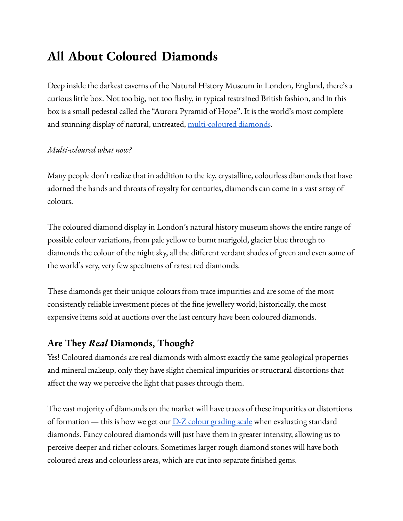# **All About Coloured Diamonds**

Deep inside the darkest caverns of the Natural History Museum in London, England, there's a curious little box. Not too big, not too flashy, in typical restrained British fashion, and in this box is a small pedestal called the "Aurora Pyramid of Hope". It is the world's most complete and stunning display of natural, untreated, [multi-coloured](https://live.staticflickr.com/1720/25979488414_3d348eedec_b.jpg) diamonds.

#### *Multi-coloured what now?*

Many people don't realize that in addition to the icy, crystalline, colourless diamonds that have adorned the hands and throats of royalty for centuries, diamonds can come in a vast array of colours.

The coloured diamond display in London's natural history museum shows the entire range of possible colour variations, from pale yellow to burnt marigold, glacier blue through to diamonds the colour of the night sky, all the different verdant shades of green and even some of the world's very, very few specimens of rarest red diamonds.

These diamonds get their unique colours from trace impurities and are some of the most consistently reliable investment pieces of the fine jewellery world; historically, the most expensive items sold at auctions over the last century have been coloured diamonds.

## **Are They** *Real* **Diamonds, Though?**

Yes! Coloured diamonds are real diamonds with almost exactly the same geological properties and mineral makeup, only they have slight chemical impurities or structural distortions that affect the way we perceive the light that passes through them.

The vast majority of diamonds on the market will have traces of these impurities or distortions of formation — this is how we get our  $D-Z$  colour [grading](https://www.gia.edu/gia-about/4cs-color) scale when evaluating standard diamonds. Fancy coloured diamonds will just have them in greater intensity, allowing us to perceive deeper and richer colours. Sometimes larger rough diamond stones will have both coloured areas and colourless areas, which are cut into separate finished gems.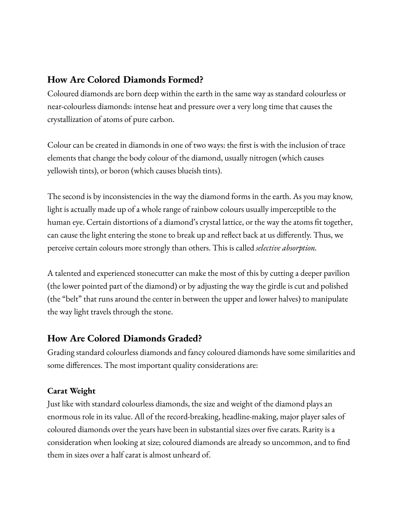# **How Are Colored Diamonds Formed?**

Coloured diamonds are born deep within the earth in the same way as standard colourless or near-colourless diamonds: intense heat and pressure over a very long time that causes the crystallization of atoms of pure carbon.

Colour can be created in diamonds in one of two ways: the first is with the inclusion of trace elements that change the body colour of the diamond, usually nitrogen (which causes yellowish tints), or boron (which causes blueish tints).

The second is by inconsistencies in the way the diamond forms in the earth. As you may know, light is actually made up of a whole range of rainbow colours usually imperceptible to the human eye. Certain distortions of a diamond's crystal lattice, or the way the atoms fit together, can cause the light entering the stone to break up and reflect back at us differently. Thus, we perceive certain colours more strongly than others. This is called *selective absorption.*

A talented and experienced stonecutter can make the most of this by cutting a deeper pavilion (the lower pointed part of the diamond) or by adjusting the way the girdle is cut and polished (the "belt" that runs around the center in between the upper and lower halves) to manipulate the way light travels through the stone.

# **How Are Colored Diamonds Graded?**

Grading standard colourless diamonds and fancy coloured diamonds have some similarities and some differences. The most important quality considerations are:

## **Carat Weight**

Just like with standard colourless diamonds, the size and weight of the diamond plays an enormous role in its value. All of the record-breaking, headline-making, major player sales of coloured diamonds over the years have been in substantial sizes over five carats. Rarity is a consideration when looking at size; coloured diamonds are already so uncommon, and to find them in sizes over a half carat is almost unheard of.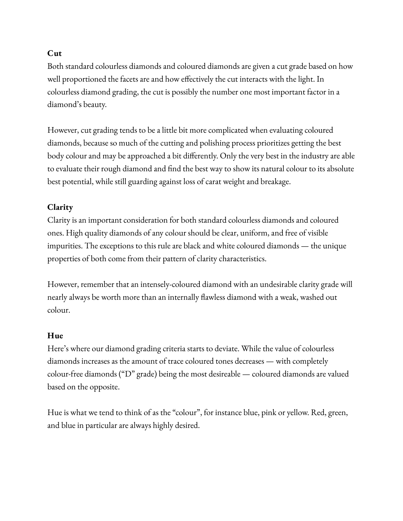## **Cut**

Both standard colourless diamonds and coloured diamonds are given a cut grade based on how well proportioned the facets are and how effectively the cut interacts with the light. In colourless diamond grading, the cut is possibly the number one most important factor in a diamond's beauty.

However, cut grading tends to be a little bit more complicated when evaluating coloured diamonds, because so much of the cutting and polishing process prioritizes getting the best body colour and may be approached a bit differently. Only the very best in the industry are able to evaluate their rough diamond and find the best way to show its natural colour to its absolute best potential, while still guarding against loss of carat weight and breakage.

# **Clarity**

Clarity is an important consideration for both standard colourless diamonds and coloured ones. High quality diamonds of any colour should be clear, uniform, and free of visible impurities. The exceptions to this rule are black and white coloured diamonds — the unique properties of both come from their pattern of clarity characteristics.

However, remember that an intensely-coloured diamond with an undesirable clarity grade will nearly always be worth more than an internally flawless diamond with a weak, washed out colour.

# **Hue**

Here's where our diamond grading criteria starts to deviate. While the value of colourless diamonds increases as the amount of trace coloured tones decreases — with completely colour-free diamonds ("D" grade) being the most desireable — coloured diamonds are valued based on the opposite.

Hue is what we tend to think of as the "colour", for instance blue, pink or yellow. Red, green, and blue in particular are always highly desired.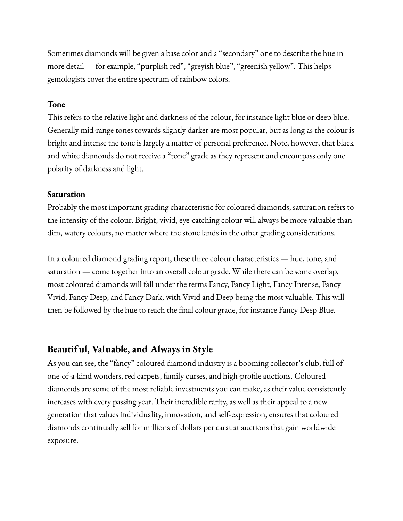Sometimes diamonds will be given a base color and a "secondary" one to describe the hue in more detail — for example, "purplish red", "greyish blue", "greenish yellow". This helps gemologists cover the entire spectrum of rainbow colors.

#### **Tone**

This refers to the relative light and darkness of the colour, for instance light blue or deep blue. Generally mid-range tones towards slightly darker are most popular, but as long as the colour is bright and intense the tone is largely a matter of personal preference. Note, however, that black and white diamonds do not receive a "tone" grade as they represent and encompass only one polarity of darkness and light.

#### **Saturation**

Probably the most important grading characteristic for coloured diamonds, saturation refers to the intensity of the colour. Bright, vivid, eye-catching colour will always be more valuable than dim, watery colours, no matter where the stone lands in the other grading considerations.

In a coloured diamond grading report, these three colour characteristics — hue, tone, and saturation — come together into an overall colour grade. While there can be some overlap, most coloured diamonds will fall under the terms Fancy, Fancy Light, Fancy Intense, Fancy Vivid, Fancy Deep, and Fancy Dark, with Vivid and Deep being the most valuable. This will then be followed by the hue to reach the final colour grade, for instance Fancy Deep Blue.

#### **Beautif ul, Valuable, and Always in Style**

As you can see, the "fancy" coloured diamond industry is a booming collector's club, full of one-of-a-kind wonders, red carpets, family curses, and high-profile auctions. Coloured diamonds are some of the most reliable investments you can make, as their value consistently increases with every passing year. Their incredible rarity, as well as their appeal to a new generation that values individuality, innovation, and self-expression, ensures that coloured diamonds continually sell for millions of dollars per carat at auctions that gain worldwide exposure.